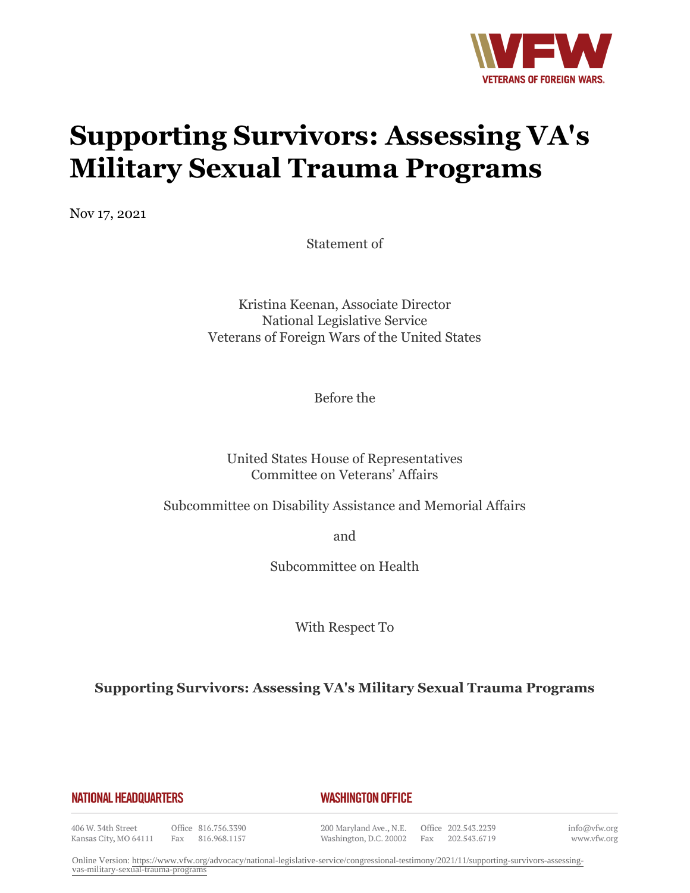

# **Supporting Survivors: Assessing VA's Military Sexual Trauma Programs**

Nov 17, 2021

Statement of

Kristina Keenan, Associate Director National Legislative Service Veterans of Foreign Wars of the United States

Before the

United States House of Representatives Committee on Veterans' Affairs

Subcommittee on Disability Assistance and Memorial Affairs

and

Subcommittee on Health

With Respect To

**Supporting Survivors: Assessing VA's Military Sexual Trauma Programs**

#### **NATIONAL HEADQUARTERS**

#### *WASHINGTON OFFICE*

406 W. 34th Street Kansas City, MO 64111

Office 816.756.3390 Fax 816.968.1157 200 Maryland Ave., N.E. Washington, D.C. 20002

Office 202.543.2239 Fax 202.543.6719 info@vfw.org www.vfw.org

Online Version: [https://www.vfw.org/advocacy/national-legislative-service/congressional-testimony/2021/11/supporting-survivors-assessing](https://www.vfw.org/advocacy/national-legislative-service/congressional-testimony/2021/11/supporting-survivors-assessing-vas-military-sexual-trauma-programs)[vas-military-sexual-trauma-programs](https://www.vfw.org/advocacy/national-legislative-service/congressional-testimony/2021/11/supporting-survivors-assessing-vas-military-sexual-trauma-programs)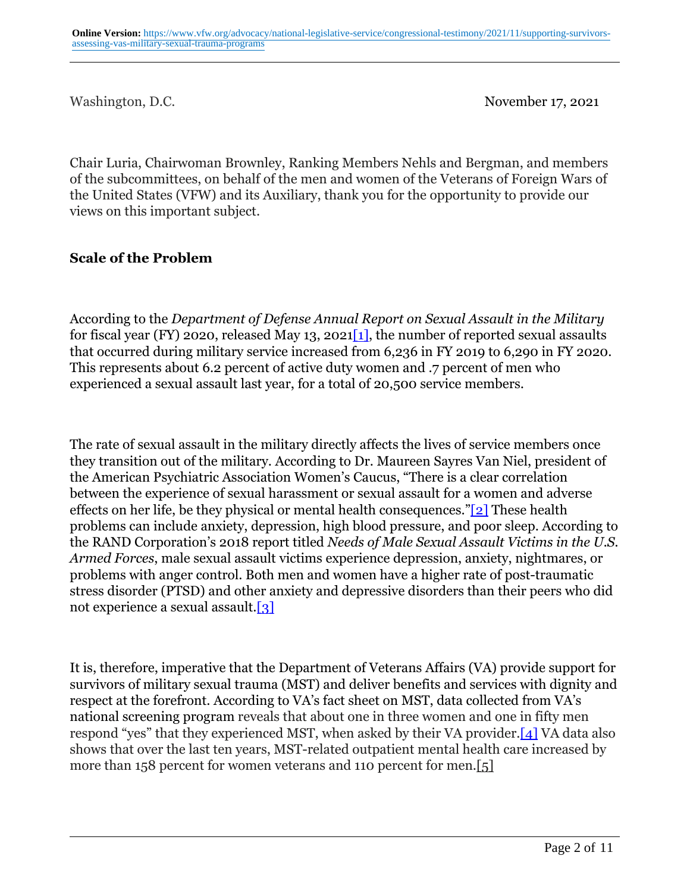Washington, D.C. November 17, 2021

Chair Luria, Chairwoman Brownley, Ranking Members Nehls and Bergman, and members of the subcommittees, on behalf of the men and women of the Veterans of Foreign Wars of the United States (VFW) and its Auxiliary, thank you for the opportunity to provide our views on this important subject.

## **Scale of the Problem**

According to the *Department of Defense Annual Report on Sexual Assault in the Military* for fiscal year (FY) 2020, released May 13, 2021[1], the number of reported sexual assaults that occurred during military service increased from 6,236 in FY 2019 to 6,290 in FY 2020. This represents about 6.2 percent of active duty women and .7 percent of men who experienced a sexual assault last year, for a total of 20,500 service members.

The rate of sexual assault in the military directly affects the lives of service members once they transition out of the military. According to Dr. Maureen Sayres Van Niel, president of the American Psychiatric Association Women's Caucus, "There is a clear correlation between the experience of sexual harassment or sexual assault for a women and adverse effects on her life, be they physical or mental health consequences."[2] These health problems can include anxiety, depression, high blood pressure, and poor sleep. According to the RAND Corporation's 2018 report titled *Needs of Male Sexual Assault Victims in the U.S. Armed Forces*, male sexual assault victims experience depression, anxiety, nightmares, or problems with anger control. Both men and women have a higher rate of post-traumatic stress disorder (PTSD) and other anxiety and depressive disorders than their peers who did not experience a sexual assault.[3]

It is, therefore, imperative that the Department of Veterans Affairs (VA) provide support for survivors of military sexual trauma (MST) and deliver benefits and services with dignity and respect at the forefront. According to VA's fact sheet on MST, data collected from VA's national screening program reveals that about one in three women and one in fifty men respond "yes" that they experienced MST, when asked by their VA provider.[4] VA data also shows that over the last ten years, MST-related outpatient mental health care increased by more than 158 percent for women veterans and 110 percent for men.[5]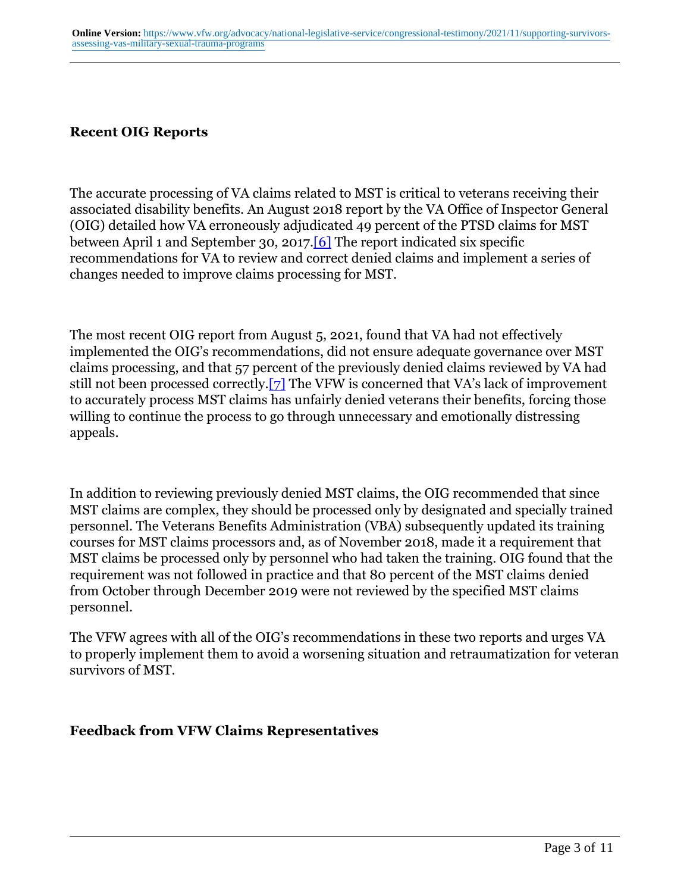# **Recent OIG Reports**

The accurate processing of VA claims related to MST is critical to veterans receiving their associated disability benefits. An August 2018 report by the VA Office of Inspector General (OIG) detailed how VA erroneously adjudicated 49 percent of the PTSD claims for MST between April 1 and September 30, 2017.[6] The report indicated six specific recommendations for VA to review and correct denied claims and implement a series of changes needed to improve claims processing for MST.

The most recent OIG report from August 5, 2021, found that VA had not effectively implemented the OIG's recommendations, did not ensure adequate governance over MST claims processing, and that 57 percent of the previously denied claims reviewed by VA had still not been processed correctly.[7] The VFW is concerned that VA's lack of improvement to accurately process MST claims has unfairly denied veterans their benefits, forcing those willing to continue the process to go through unnecessary and emotionally distressing appeals.

In addition to reviewing previously denied MST claims, the OIG recommended that since MST claims are complex, they should be processed only by designated and specially trained personnel. The Veterans Benefits Administration (VBA) subsequently updated its training courses for MST claims processors and, as of November 2018, made it a requirement that MST claims be processed only by personnel who had taken the training. OIG found that the requirement was not followed in practice and that 80 percent of the MST claims denied from October through December 2019 were not reviewed by the specified MST claims personnel.

The VFW agrees with all of the OIG's recommendations in these two reports and urges VA to properly implement them to avoid a worsening situation and retraumatization for veteran survivors of MST.

#### **Feedback from VFW Claims Representatives**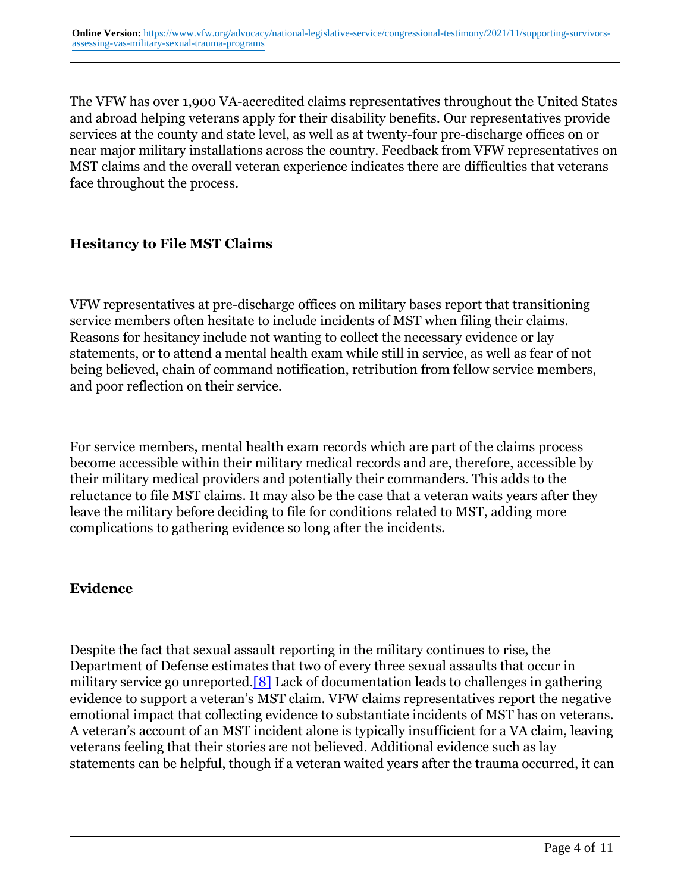The VFW has over 1,900 VA-accredited claims representatives throughout the United States and abroad helping veterans apply for their disability benefits. Our representatives provide services at the county and state level, as well as at twenty-four pre-discharge offices on or near major military installations across the country. Feedback from VFW representatives on MST claims and the overall veteran experience indicates there are difficulties that veterans face throughout the process.

## **Hesitancy to File MST Claims**

VFW representatives at pre-discharge offices on military bases report that transitioning service members often hesitate to include incidents of MST when filing their claims. Reasons for hesitancy include not wanting to collect the necessary evidence or lay statements, or to attend a mental health exam while still in service, as well as fear of not being believed, chain of command notification, retribution from fellow service members, and poor reflection on their service.

For service members, mental health exam records which are part of the claims process become accessible within their military medical records and are, therefore, accessible by their military medical providers and potentially their commanders. This adds to the reluctance to file MST claims. It may also be the case that a veteran waits years after they leave the military before deciding to file for conditions related to MST, adding more complications to gathering evidence so long after the incidents.

#### **Evidence**

Despite the fact that sexual assault reporting in the military continues to rise, the Department of Defense estimates that two of every three sexual assaults that occur in military service go unreported.[8] Lack of documentation leads to challenges in gathering evidence to support a veteran's MST claim. VFW claims representatives report the negative emotional impact that collecting evidence to substantiate incidents of MST has on veterans. A veteran's account of an MST incident alone is typically insufficient for a VA claim, leaving veterans feeling that their stories are not believed. Additional evidence such as lay statements can be helpful, though if a veteran waited years after the trauma occurred, it can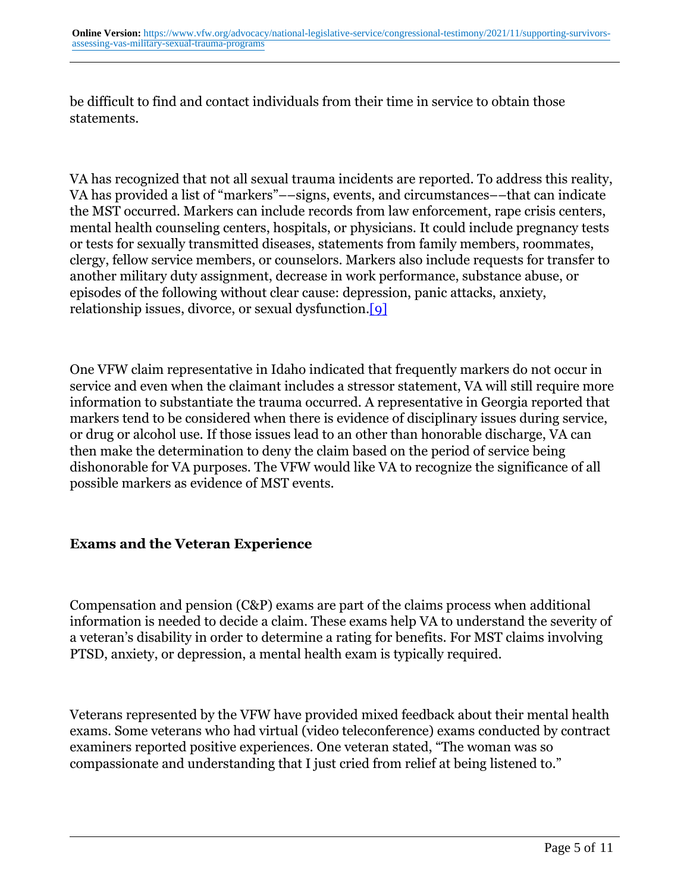be difficult to find and contact individuals from their time in service to obtain those statements.

VA has recognized that not all sexual trauma incidents are reported. To address this reality, VA has provided a list of "markers"––signs, events, and circumstances––that can indicate the MST occurred. Markers can include records from law enforcement, rape crisis centers, mental health counseling centers, hospitals, or physicians. It could include pregnancy tests or tests for sexually transmitted diseases, statements from family members, roommates, clergy, fellow service members, or counselors. Markers also include requests for transfer to another military duty assignment, decrease in work performance, substance abuse, or episodes of the following without clear cause: depression, panic attacks, anxiety, relationship issues, divorce, or sexual dysfunction.[9]

One VFW claim representative in Idaho indicated that frequently markers do not occur in service and even when the claimant includes a stressor statement, VA will still require more information to substantiate the trauma occurred. A representative in Georgia reported that markers tend to be considered when there is evidence of disciplinary issues during service, or drug or alcohol use. If those issues lead to an other than honorable discharge, VA can then make the determination to deny the claim based on the period of service being dishonorable for VA purposes. The VFW would like VA to recognize the significance of all possible markers as evidence of MST events.

#### **Exams and the Veteran Experience**

Compensation and pension (C&P) exams are part of the claims process when additional information is needed to decide a claim. These exams help VA to understand the severity of a veteran's disability in order to determine a rating for benefits. For MST claims involving PTSD, anxiety, or depression, a mental health exam is typically required.

Veterans represented by the VFW have provided mixed feedback about their mental health exams. Some veterans who had virtual (video teleconference) exams conducted by contract examiners reported positive experiences. One veteran stated, "The woman was so compassionate and understanding that I just cried from relief at being listened to."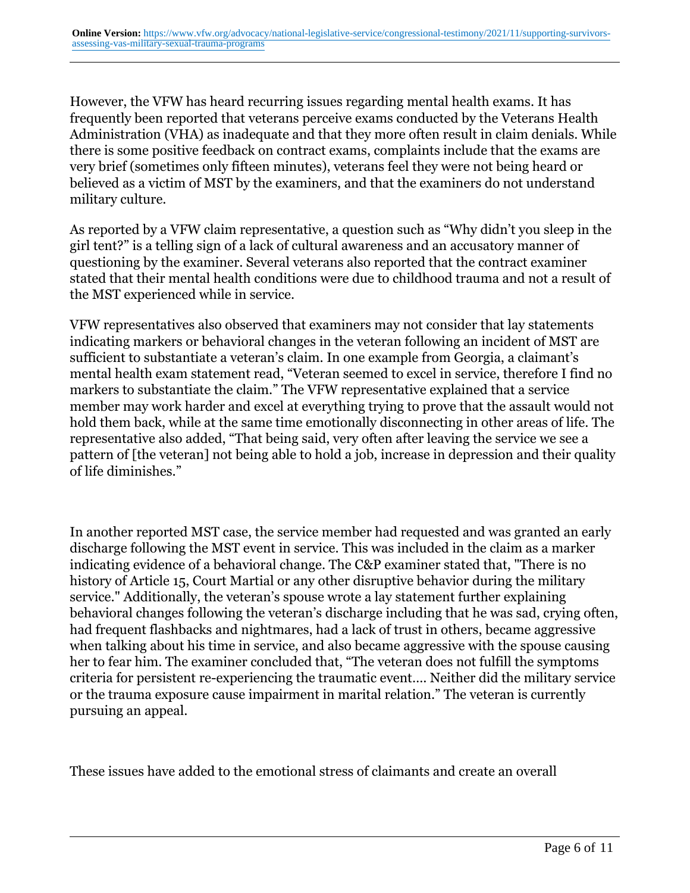However, the VFW has heard recurring issues regarding mental health exams. It has frequently been reported that veterans perceive exams conducted by the Veterans Health Administration (VHA) as inadequate and that they more often result in claim denials. While there is some positive feedback on contract exams, complaints include that the exams are very brief (sometimes only fifteen minutes), veterans feel they were not being heard or believed as a victim of MST by the examiners, and that the examiners do not understand military culture.

As reported by a VFW claim representative, a question such as "Why didn't you sleep in the girl tent?" is a telling sign of a lack of cultural awareness and an accusatory manner of questioning by the examiner. Several veterans also reported that the contract examiner stated that their mental health conditions were due to childhood trauma and not a result of the MST experienced while in service.

VFW representatives also observed that examiners may not consider that lay statements indicating markers or behavioral changes in the veteran following an incident of MST are sufficient to substantiate a veteran's claim. In one example from Georgia, a claimant's mental health exam statement read, "Veteran seemed to excel in service, therefore I find no markers to substantiate the claim." The VFW representative explained that a service member may work harder and excel at everything trying to prove that the assault would not hold them back, while at the same time emotionally disconnecting in other areas of life. The representative also added, "That being said, very often after leaving the service we see a pattern of [the veteran] not being able to hold a job, increase in depression and their quality of life diminishes."

In another reported MST case, the service member had requested and was granted an early discharge following the MST event in service. This was included in the claim as a marker indicating evidence of a behavioral change. The C&P examiner stated that, "There is no history of Article 15, Court Martial or any other disruptive behavior during the military service." Additionally, the veteran's spouse wrote a lay statement further explaining behavioral changes following the veteran's discharge including that he was sad, crying often, had frequent flashbacks and nightmares, had a lack of trust in others, became aggressive when talking about his time in service, and also became aggressive with the spouse causing her to fear him. The examiner concluded that, "The veteran does not fulfill the symptoms criteria for persistent re-experiencing the traumatic event…. Neither did the military service or the trauma exposure cause impairment in marital relation." The veteran is currently pursuing an appeal.

These issues have added to the emotional stress of claimants and create an overall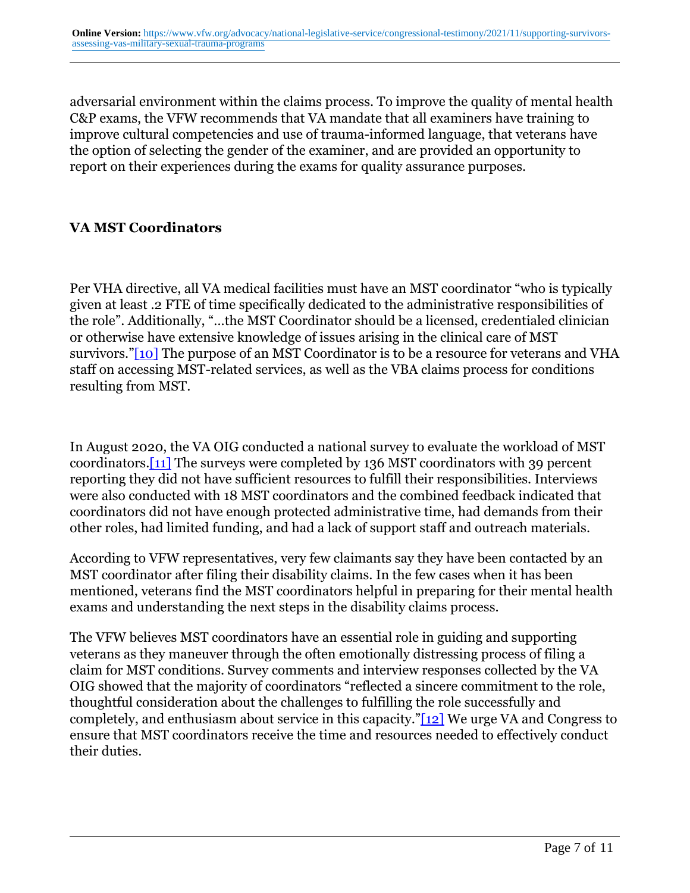adversarial environment within the claims process. To improve the quality of mental health C&P exams, the VFW recommends that VA mandate that all examiners have training to improve cultural competencies and use of trauma-informed language, that veterans have the option of selecting the gender of the examiner, and are provided an opportunity to report on their experiences during the exams for quality assurance purposes.

# **VA MST Coordinators**

Per VHA directive, all VA medical facilities must have an MST coordinator "who is typically given at least .2 FTE of time specifically dedicated to the administrative responsibilities of the role". Additionally, "…the MST Coordinator should be a licensed, credentialed clinician or otherwise have extensive knowledge of issues arising in the clinical care of MST survivors."[10] The purpose of an MST Coordinator is to be a resource for veterans and VHA staff on accessing MST-related services, as well as the VBA claims process for conditions resulting from MST.

In August 2020, the VA OIG conducted a national survey to evaluate the workload of MST coordinators.[11] The surveys were completed by 136 MST coordinators with 39 percent reporting they did not have sufficient resources to fulfill their responsibilities. Interviews were also conducted with 18 MST coordinators and the combined feedback indicated that coordinators did not have enough protected administrative time, had demands from their other roles, had limited funding, and had a lack of support staff and outreach materials.

According to VFW representatives, very few claimants say they have been contacted by an MST coordinator after filing their disability claims. In the few cases when it has been mentioned, veterans find the MST coordinators helpful in preparing for their mental health exams and understanding the next steps in the disability claims process.

The VFW believes MST coordinators have an essential role in guiding and supporting veterans as they maneuver through the often emotionally distressing process of filing a claim for MST conditions. Survey comments and interview responses collected by the VA OIG showed that the majority of coordinators "reflected a sincere commitment to the role, thoughtful consideration about the challenges to fulfilling the role successfully and completely, and enthusiasm about service in this capacity."[12] We urge VA and Congress to ensure that MST coordinators receive the time and resources needed to effectively conduct their duties.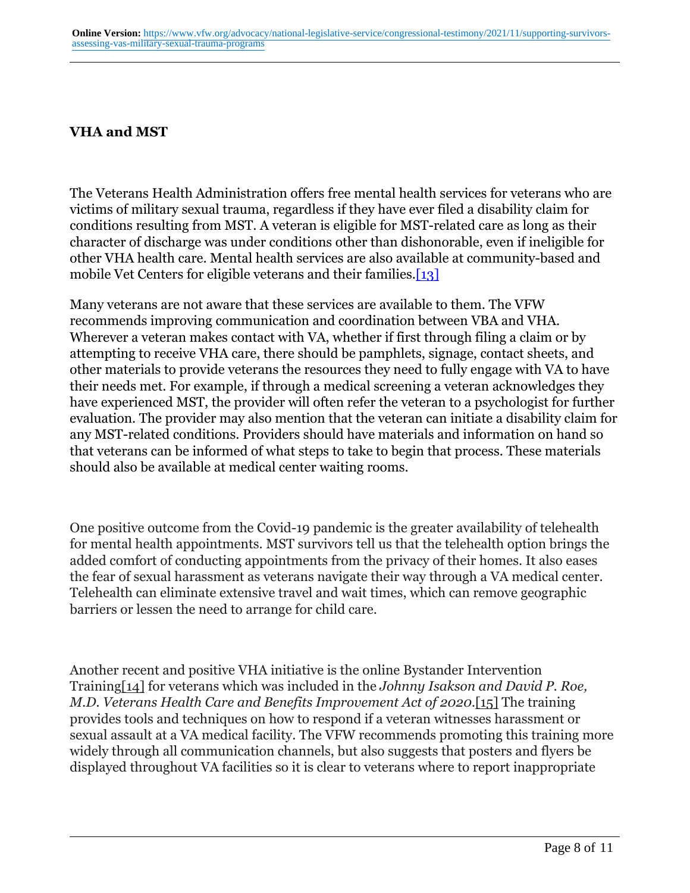# **VHA and MST**

The Veterans Health Administration offers free mental health services for veterans who are victims of military sexual trauma, regardless if they have ever filed a disability claim for conditions resulting from MST. A veteran is eligible for MST-related care as long as their character of discharge was under conditions other than dishonorable, even if ineligible for other VHA health care. Mental health services are also available at community-based and mobile Vet Centers for eligible veterans and their families.<sup>[13]</sup>

Many veterans are not aware that these services are available to them. The VFW recommends improving communication and coordination between VBA and VHA. Wherever a veteran makes contact with VA, whether if first through filing a claim or by attempting to receive VHA care, there should be pamphlets, signage, contact sheets, and other materials to provide veterans the resources they need to fully engage with VA to have their needs met. For example, if through a medical screening a veteran acknowledges they have experienced MST, the provider will often refer the veteran to a psychologist for further evaluation. The provider may also mention that the veteran can initiate a disability claim for any MST-related conditions. Providers should have materials and information on hand so that veterans can be informed of what steps to take to begin that process. These materials should also be available at medical center waiting rooms.

One positive outcome from the Covid-19 pandemic is the greater availability of telehealth for mental health appointments. MST survivors tell us that the telehealth option brings the added comfort of conducting appointments from the privacy of their homes. It also eases the fear of sexual harassment as veterans navigate their way through a VA medical center. Telehealth can eliminate extensive travel and wait times, which can remove geographic barriers or lessen the need to arrange for child care.

Another recent and positive VHA initiative is the online Bystander Intervention Training[14] for veterans which was included in the *Johnny Isakson and David P. Roe, M.D. Veterans Health Care and Benefits Improvement Act of 2020.*[15] The training provides tools and techniques on how to respond if a veteran witnesses harassment or sexual assault at a VA medical facility. The VFW recommends promoting this training more widely through all communication channels, but also suggests that posters and flyers be displayed throughout VA facilities so it is clear to veterans where to report inappropriate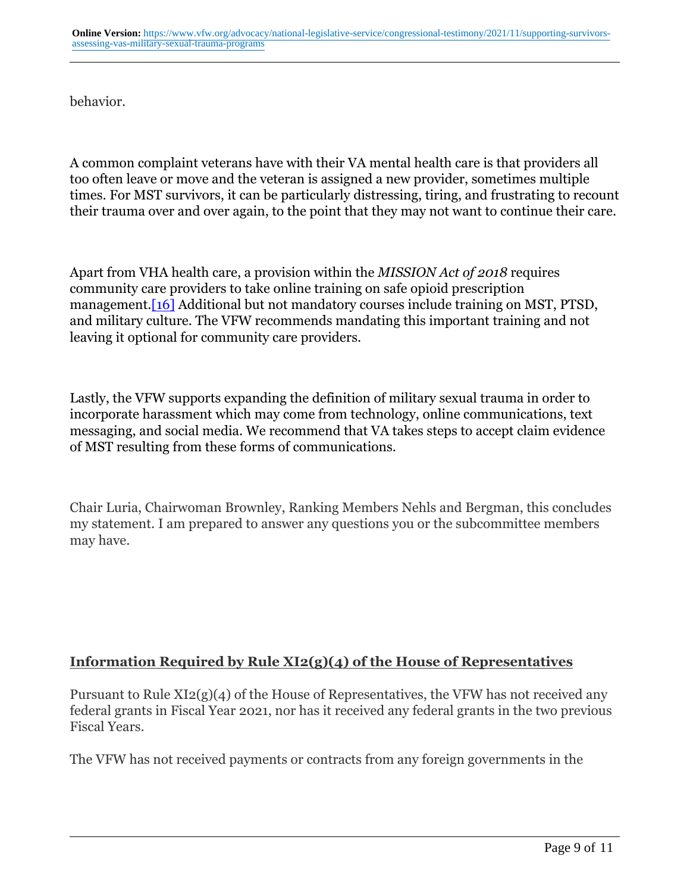behavior.

A common complaint veterans have with their VA mental health care is that providers all too often leave or move and the veteran is assigned a new provider, sometimes multiple times. For MST survivors, it can be particularly distressing, tiring, and frustrating to recount their trauma over and over again, to the point that they may not want to continue their care.

Apart from VHA health care, a provision within the *MISSION Act of 2018* requires community care providers to take online training on safe opioid prescription management.[16] Additional but not mandatory courses include training on MST, PTSD, and military culture. The VFW recommends mandating this important training and not leaving it optional for community care providers.

Lastly, the VFW supports expanding the definition of military sexual trauma in order to incorporate harassment which may come from technology, online communications, text messaging, and social media. We recommend that VA takes steps to accept claim evidence of MST resulting from these forms of communications.

Chair Luria, Chairwoman Brownley, Ranking Members Nehls and Bergman, this concludes my statement. I am prepared to answer any questions you or the subcommittee members may have.

# **Information Required by Rule XI2(g)(4) of the House of Representatives**

Pursuant to Rule XI2(g)(4) of the House of Representatives, the VFW has not received any federal grants in Fiscal Year 2021, nor has it received any federal grants in the two previous Fiscal Years.

The VFW has not received payments or contracts from any foreign governments in the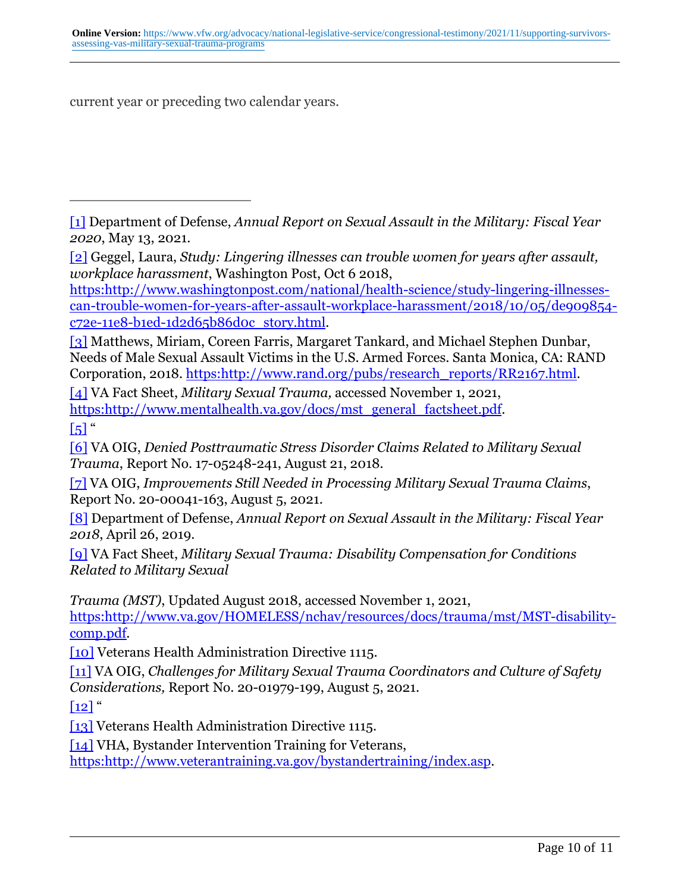current year or preceding two calendar years.

[1] Department of Defense, *Annual Report on Sexual Assault in the Military: Fiscal Year 2020*, May 13, 2021.

[2] Geggel, Laura, *Study: Lingering illnesses can trouble women for years after assault, workplace harassment*, Washington Post, Oct 6 2018,

[https:http://www.washingtonpost.com/national/health-science/study-lingering-illnesses](https:http://www.washingtonpost.com/national/health-science/study-lingering-illnesses-can-trouble-women-for-years-after-assault-workplace-harassment/2018/10/05/de909854-c72e-11e8-b1ed-1d2d65b86d0c_story.html)[can-trouble-women-for-years-after-assault-workplace-harassment/2018/10/05/de909854](https:http://www.washingtonpost.com/national/health-science/study-lingering-illnesses-can-trouble-women-for-years-after-assault-workplace-harassment/2018/10/05/de909854-c72e-11e8-b1ed-1d2d65b86d0c_story.html) [c72e-11e8-b1ed-1d2d65b86d0c\\_story.html.](https:http://www.washingtonpost.com/national/health-science/study-lingering-illnesses-can-trouble-women-for-years-after-assault-workplace-harassment/2018/10/05/de909854-c72e-11e8-b1ed-1d2d65b86d0c_story.html)

[3] Matthews, Miriam, Coreen Farris, Margaret Tankard, and Michael Stephen Dunbar, Needs of Male Sexual Assault Victims in the U.S. Armed Forces. Santa Monica, CA: RAND Corporation, 2018. [https:http://www.rand.org/pubs/research\\_reports/RR2167.html](https:http://www.rand.org/pubs/research_reports/RR2167.html).

[4] VA Fact Sheet, *Military Sexual Trauma,* accessed November 1, 2021, [https:http://www.mentalhealth.va.gov/docs/mst\\_general\\_factsheet.pdf](https:http://www.mentalhealth.va.gov/docs/mst_general_factsheet.pdf).

 $\left[5\right]$  "

[6] VA OIG, *Denied Posttraumatic Stress Disorder Claims Related to Military Sexual Trauma*, Report No. 17-05248-241, August 21, 2018.

[7] VA OIG, *Improvements Still Needed in Processing Military Sexual Trauma Claims*, Report No. 20-00041-163, August 5, 2021.

[8] Department of Defense, *Annual Report on Sexual Assault in the Military: Fiscal Year 2018*, April 26, 2019.

[9] VA Fact Sheet, *Military Sexual Trauma: Disability Compensation for Conditions Related to Military Sexual*

*Trauma (MST)*, Updated August 2018, accessed November 1, 2021,

[https:http://www.va.gov/HOMELESS/nchav/resources/docs/trauma/mst/MST-disability](https:http://www.va.gov/HOMELESS/nchav/resources/docs/trauma/mst/MST-disability-comp.pdf)[comp.pdf](https:http://www.va.gov/HOMELESS/nchav/resources/docs/trauma/mst/MST-disability-comp.pdf).

[10] Veterans Health Administration Directive 1115.

[11] VA OIG, *Challenges for Military Sexual Trauma Coordinators and Culture of Safety Considerations,* Report No. 20-01979-199, August 5, 2021.

 $\lceil 12 \rceil$ "

[13] Veterans Health Administration Directive 1115.

[14] VHA, Bystander Intervention Training for Veterans,

[https:http://www.veterantraining.va.gov/bystandertraining/index.asp.](https:http://www.veterantraining.va.gov/bystandertraining/index.asp)